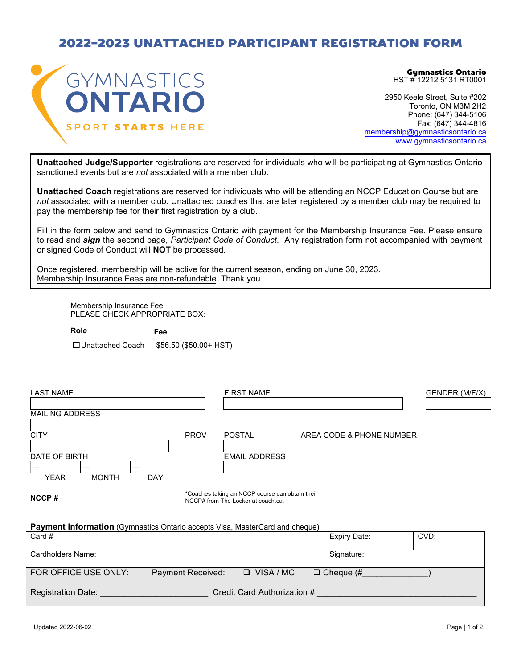## 2022-2023 UNATTACHED PARTICIPANT REGISTRATION FORM



Gymnastics Ontario HST # 12212 5131 RT0001

2950 Keele Street, Suite #202 Toronto, ON M3M 2H2 Phone: (647) 344-5106 Fax: (647) 344-4816 [membership@gymnasticsontario.ca](mailto:membership@gymnasticsontario.ca) [www.gymnasticsontario.ca](http://www.gymnasticsontario.ca/)

**Unattached Judge/Supporter** registrations are reserved for individuals who will be participating at Gymnastics Ontario sanctioned events but are *not* associated with a member club.

**Unattached Coach** registrations are reserved for individuals who will be attending an NCCP Education Course but are *not* associated with a member club. Unattached coaches that are later registered by a member club may be required to pay the membership fee for their first registration by a club.

Fill in the form below and send to Gymnastics Ontario with payment for the Membership Insurance Fee. Please ensure to read and *sign* the second page, *Participant Code of Conduct*. Any registration form not accompanied with payment or signed Code of Conduct will **NOT** be processed.

Once registered, membership will be active for the current season, ending on June 30, 2023. Membership Insurance Fees are non-refundable. Thank you.

Membership Insurance Fee PLEASE CHECK APPROPRIATE BOX:

 **Role Fee**  Unattached Coach \$56.50 (\$50.00+ HST)

| <b>LAST NAME</b>                                                                    | <b>FIRST NAME</b>                                                                     |                          |      |  |  |  |  |  |
|-------------------------------------------------------------------------------------|---------------------------------------------------------------------------------------|--------------------------|------|--|--|--|--|--|
| <b>MAILING ADDRESS</b>                                                              |                                                                                       |                          |      |  |  |  |  |  |
| <b>CITY</b>                                                                         | <b>PROV</b><br><b>POSTAL</b>                                                          | AREA CODE & PHONE NUMBER |      |  |  |  |  |  |
| DATE OF BIRTH                                                                       | <b>EMAIL ADDRESS</b>                                                                  |                          |      |  |  |  |  |  |
| ---<br>---<br>---                                                                   |                                                                                       |                          |      |  |  |  |  |  |
| <b>YEAR</b><br><b>DAY</b><br><b>MONTH</b>                                           |                                                                                       |                          |      |  |  |  |  |  |
| NCCP#                                                                               | *Coaches taking an NCCP course can obtain their<br>NCCP# from The Locker at coach.ca. |                          |      |  |  |  |  |  |
| <b>Payment Information</b> (Gymnastics Ontario accepts Visa, MasterCard and cheque) |                                                                                       |                          |      |  |  |  |  |  |
| Card #                                                                              |                                                                                       | <b>Expiry Date:</b>      | CVD: |  |  |  |  |  |
| Cardholders Name:                                                                   |                                                                                       | Signature:               |      |  |  |  |  |  |

| FOR OFFICE USE ONLY:      | <b>Payment Received:</b>    | $\Box$ VISA / MC | $\Box$ Cheque (# |  |  |  |  |  |  |  |
|---------------------------|-----------------------------|------------------|------------------|--|--|--|--|--|--|--|
| <b>Registration Date:</b> | Credit Card Authorization # |                  |                  |  |  |  |  |  |  |  |